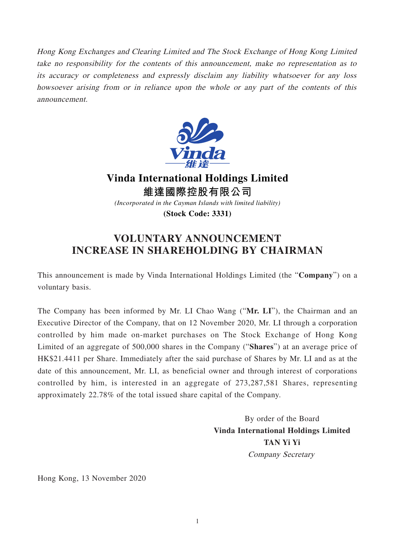Hong Kong Exchanges and Clearing Limited and The Stock Exchange of Hong Kong Limited take no responsibility for the contents of this announcement, make no representation as to its accuracy or completeness and expressly disclaim any liability whatsoever for any loss howsoever arising from or in reliance upon the whole or any part of the contents of this announcement.



**Vinda International Holdings Limited 維達國際控股有限公司** *(Incorporated in the Cayman Islands with limited liability)*

**(Stock Code: 3331)**

## **VOLUNTARY ANNOUNCEMENT INCREASE IN SHAREHOLDING BY CHAIRMAN**

This announcement is made by Vinda International Holdings Limited (the "**Company**") on a voluntary basis.

The Company has been informed by Mr. LI Chao Wang ("**Mr. LI**"), the Chairman and an Executive Director of the Company, that on 12 November 2020, Mr. LI through a corporation controlled by him made on-market purchases on The Stock Exchange of Hong Kong Limited of an aggregate of 500,000 shares in the Company ("**Shares**") at an average price of HK\$21.4411 per Share. Immediately after the said purchase of Shares by Mr. LI and as at the date of this announcement, Mr. LI, as beneficial owner and through interest of corporations controlled by him, is interested in an aggregate of 273,287,581 Shares, representing approximately 22.78% of the total issued share capital of the Company.

> By order of the Board **Vinda International Holdings Limited TAN Yi Yi** Company Secretary

Hong Kong, 13 November 2020